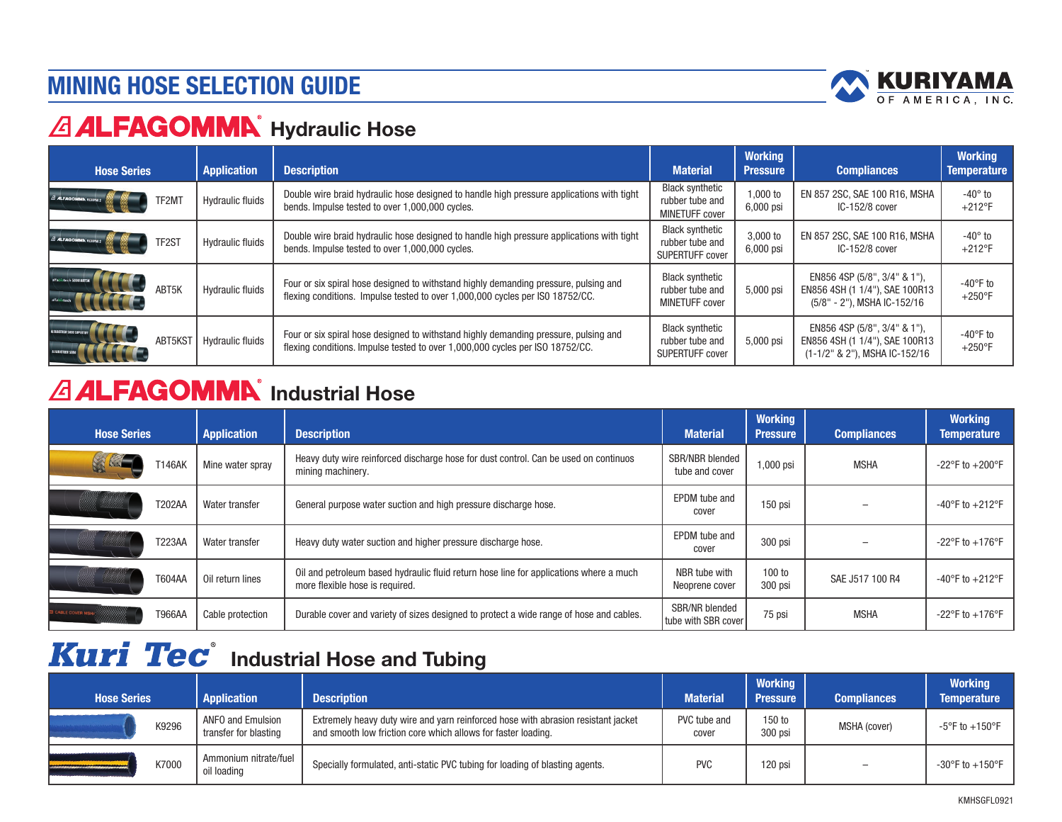## MINING HOSE SELECTION GUIDE



# **ALFAGOMMA** Hydraulic Hose

| <b>Hose Series</b>         |         | <b>Application</b>      | <b>Description</b>                                                                                                                                                    | <b>Material</b>                                                    | <b>Working</b><br><b>Pressure</b> | <b>Compliances</b>                                                                              | <b>Working</b><br><b>Temperature</b>   |
|----------------------------|---------|-------------------------|-----------------------------------------------------------------------------------------------------------------------------------------------------------------------|--------------------------------------------------------------------|-----------------------------------|-------------------------------------------------------------------------------------------------|----------------------------------------|
| A ALFAGOMMA RIXERE         | TF2M)   | <b>Hydraulic fluids</b> | Double wire braid hydraulic hose designed to handle high pressure applications with tight<br>bends. Impulse tested to over 1,000,000 cycles.                          | <b>Black synthetic</b><br>rubber tube and<br><b>MINETUFF cover</b> | 1,000 to<br>6,000 psi             | EN 857 2SC, SAE 100 R16, MSHA<br>IC-152/8 cover                                                 | $-40^\circ$ to<br>$+212$ °F            |
| $A$ <b>ALFAGOMMA</b> $RIX$ | TF2ST   | <b>Hydraulic fluids</b> | Double wire braid hydraulic hose designed to handle high pressure applications with tight<br>bends. Impulse tested to over 1,000,000 cycles.                          | <b>Black synthetic</b><br>rubber tube and<br>SUPERTUFF cover       | 3,000 to<br>6,000 psi             | EN 857 2SC, SAE 100 R16, MSHA<br>IC-152/8 cover                                                 | -40 $^{\circ}$ to<br>$+212$ °F         |
| alfabiotech 5000 ABTSK     | ABT5K   | <b>Hydraulic fluids</b> | Four or six spiral hose designed to withstand highly demanding pressure, pulsing and<br>flexing conditions. Impulse tested to over 1,000,000 cycles per ISO 18752/CC. | <b>Black synthetic</b><br>rubber tube and<br><b>MINETUFF cover</b> | 5,000 psi                         | EN856 4SP (5/8", 3/4" & 1"),<br>EN856 4SH (1 1/4"), SAE 100R13<br>(5/8" - 2"), MSHA IC-152/16   | $-40^{\circ}$ F to<br>$+250^{\circ}$ F |
|                            | ABT5KST | <b>Hydraulic fluids</b> | Four or six spiral hose designed to withstand highly demanding pressure, pulsing and<br>flexing conditions. Impulse tested to over 1,000,000 cycles per ISO 18752/CC. | <b>Black synthetic</b><br>rubber tube and<br>SUPERTUFF cover       | 5,000 psi                         | EN856 4SP (5/8", 3/4" & 1"),<br>EN856 4SH (1 1/4"), SAE 100R13<br>(1-1/2" & 2"), MSHA IC-152/16 | $-40^{\circ}$ F to<br>$+250^{\circ}$ F |

# **ALFAGOMMN** Industrial Hose

| <b>Hose Series</b>        |               | <b>Application</b> | <b>Description</b>                                                                                                        | <b>Material</b>                           | <b>Working</b><br><b>Pressure</b> | <b>Compliances</b> | <b>Working</b><br><b>Temperature</b> |
|---------------------------|---------------|--------------------|---------------------------------------------------------------------------------------------------------------------------|-------------------------------------------|-----------------------------------|--------------------|--------------------------------------|
|                           | T146AK        | Mine water spray   | Heavy duty wire reinforced discharge hose for dust control. Can be used on continuos<br>mining machinery.                 | SBR/NBR blended<br>tube and cover         | 1,000 psi                         | <b>MSHA</b>        | $-22^{\circ}$ F to $+200^{\circ}$ F  |
|                           | T202AA        | Water transfer     | General purpose water suction and high pressure discharge hose.                                                           | EPDM tube and<br>cover                    | 150 psi                           |                    | $-40^{\circ}$ F to $+212^{\circ}$ F  |
|                           | <b>T223AA</b> | Water transfer     | Heavy duty water suction and higher pressure discharge hose.                                                              | EPDM tube and<br>cover                    | 300 psi                           |                    | $-22^{\circ}$ F to $+176^{\circ}$ F  |
|                           | <b>T604AA</b> | Oil return lines   | Oil and petroleum based hydraulic fluid return hose line for applications where a much<br>more flexible hose is required. | NBR tube with<br>Neoprene cover           | 100 to<br>300 psi                 | SAE J517 100 R4    | -40°F to $+212$ °F                   |
| <b>2 CABLE COVER MSHA</b> | <b>T966AA</b> | Cable protection   | Durable cover and variety of sizes designed to protect a wide range of hose and cables.                                   | SBR/NR blended<br>I tube with SBR cover I | 75 psi                            | <b>MSHA</b>        | $-22^{\circ}$ F to $+176^{\circ}$ F  |

# **Kuri Tec**<sup>®</sup> Industrial Hose and Tubing

| <b>Hose Series</b> | <b>Application</b>                         | <b>Description</b>                                                                                                                                 | <b>Material</b>       | <b>Working</b><br><b>Pressure</b> | <b>Compliances</b>       | <b>Working</b><br><b>Temperature</b> |
|--------------------|--------------------------------------------|----------------------------------------------------------------------------------------------------------------------------------------------------|-----------------------|-----------------------------------|--------------------------|--------------------------------------|
| K9296              | ANFO and Emulsion<br>transfer for blasting | Extremely heavy duty wire and yarn reinforced hose with abrasion resistant jacket<br>and smooth low friction core which allows for faster loading. | PVC tube and<br>cover | 150 to<br>300 psi                 | MSHA (cover)             | $-5^{\circ}$ F to $+150^{\circ}$ F   |
| K7000              | Ammonium nitrate/fuel<br>oil loading       | Specially formulated, anti-static PVC tubing for loading of blasting agents.                                                                       | <b>PVC</b>            | 120 psi                           | $\overline{\phantom{a}}$ | $-30^{\circ}$ F to $+150^{\circ}$ F  |